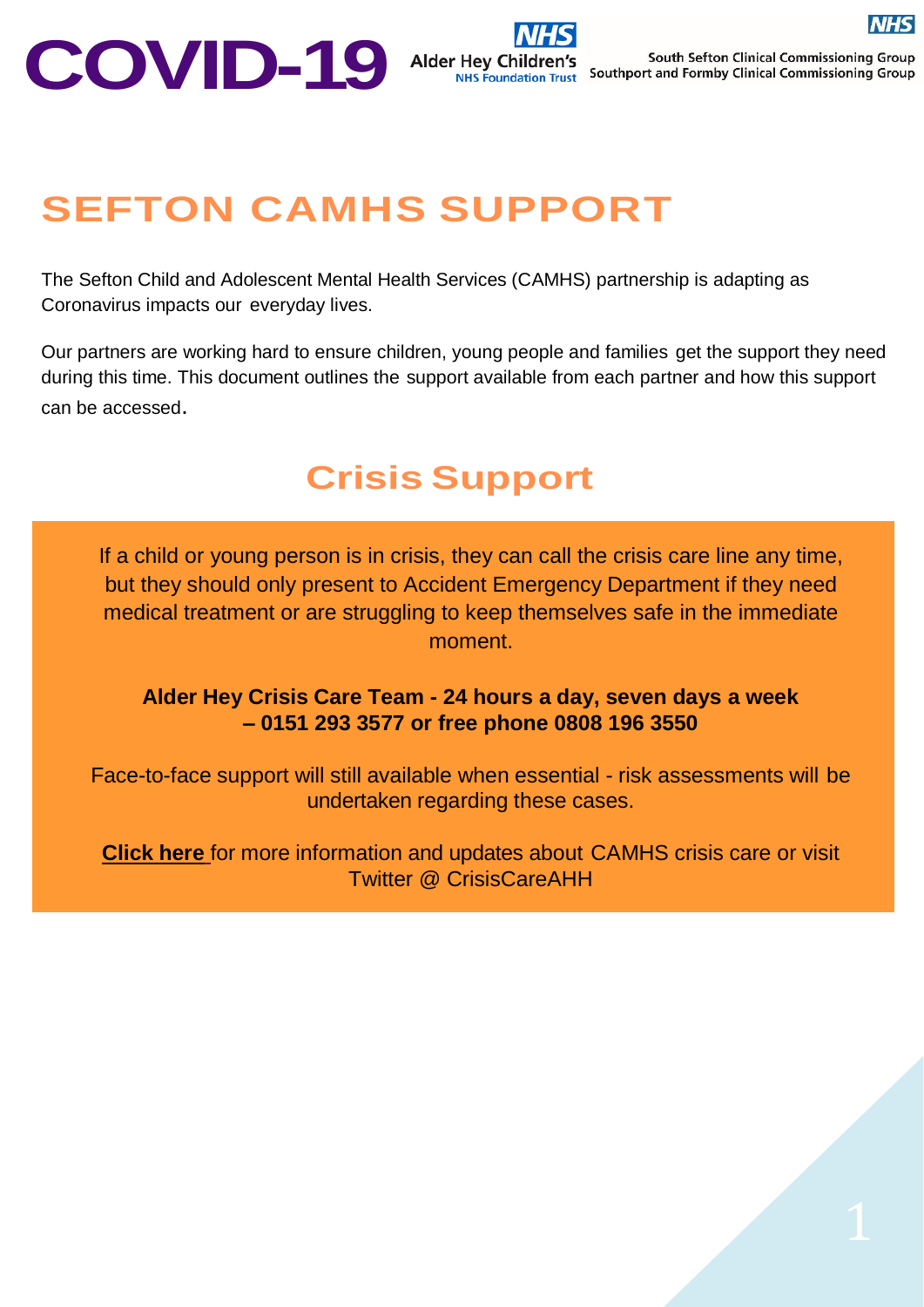## **SEFTON CAMHS SUPPORT**

The Sefton Child and Adolescent Mental Health Services (CAMHS) partnership is adapting as Coronavirus impacts our everyday lives.

Our partners are working hard to ensure children, young people and families get the support they need during this time. This document outlines the support available from each partner and how this support can be accessed.

## **Crisis Support**

If a child or young person is in crisis, they can call the crisis care line any time, but they should only present to Accident Emergency Department if they need medical treatment or are struggling to keep themselves safe in the immediate moment.

**Alder Hey Crisis Care Team - 24 hours a day, seven days a week – 0151 293 3577 or free phone 0808 196 3550**

Face-to-face support will still available when essential - risk assessments will be undertaken regarding these cases.

**[Click](https://alderhey.nhs.uk/services/camhs-crisis-care-team) here** for more information and updates about CAMHS crisis care or visit Twitter @ CrisisCareAHH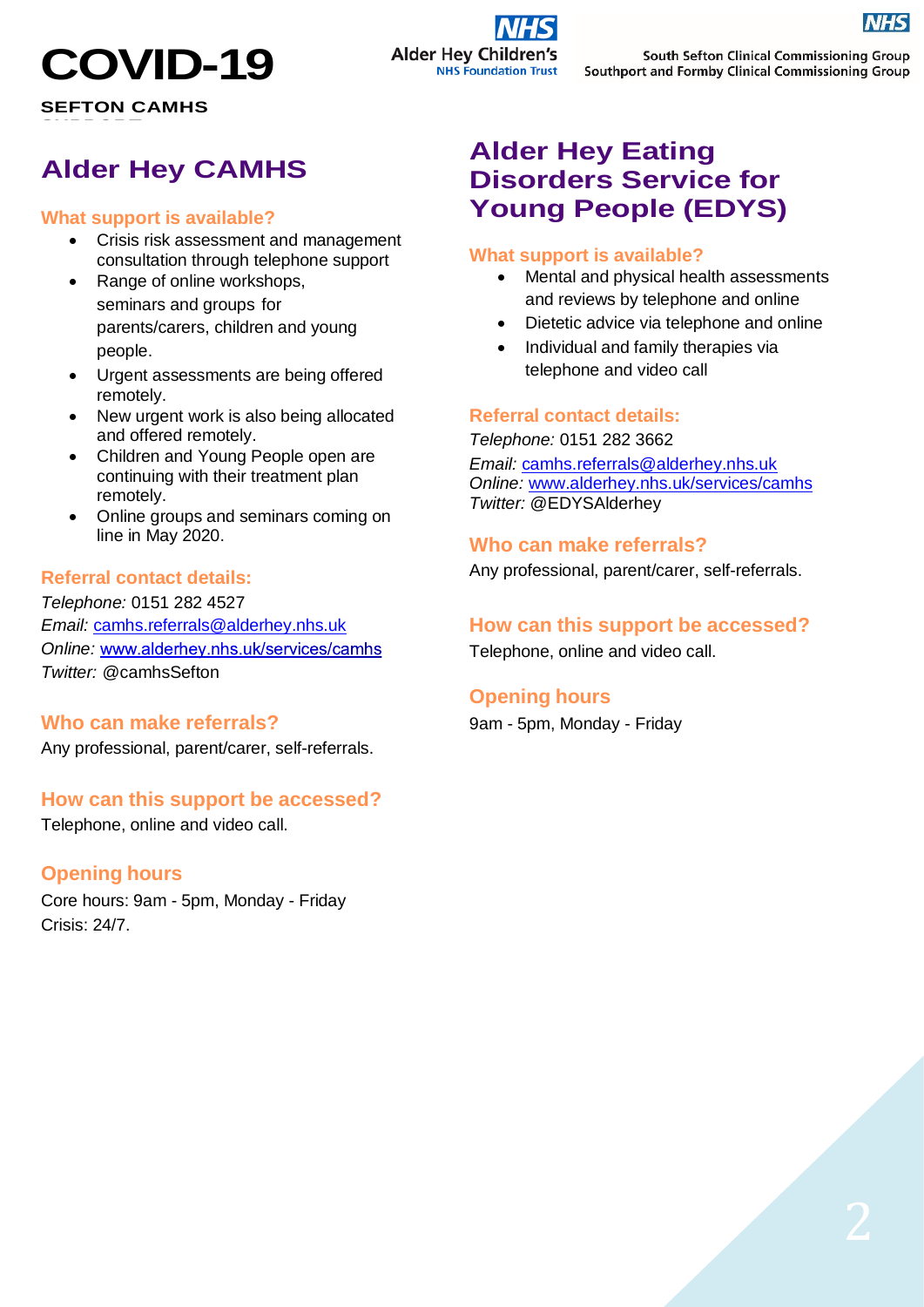# **COVID-19**

**SEFTON CAMHS**  $S = S \cdot S = S \cdot S = S \cdot S$ 

## **Alder Hey CAMHS**

#### **What support is available?**

- Crisis risk assessment and management consultation through telephone support
- Range of online workshops, seminars and groups for parents/carers, children and young people.
- Urgent assessments are being offered remotely.
- New urgent work is also being allocated and offered remotely.
- Children and Young People open are continuing with their treatment plan remotely.
- Online groups and seminars coming on line in May 2020.

#### **Referral contact details:**

*Telephone:* 0151 282 4527 *Email:* [camhs.referrals@alderhey.nhs.uk](mailto:camhs.referrals@alderhey.nhs.uk) **Online: www.alderhey.nhs.uk/services/camhs** *Twitter:* @camhsSefton

#### **Who can make referrals?**

Any professional, parent/carer, self-referrals.

#### **How can this support be accessed?**

Telephone, online and video call.

#### **Opening hours**

Core hours: 9am - 5pm, Monday - Friday Crisis: 24/7.

## **Alder Hey Eating Disorders Service for Young People (EDYS)**

#### **What support is available?**

- Mental and physical health assessments and reviews by telephone and online
- Dietetic advice via telephone and online
- Individual and family therapies via telephone and video call

#### **Referral contact details:**

*Telephone:* 0151 282 3662 *Email:* [camhs.referrals@alderhey.nhs.uk](mailto:camhs.referrals@alderhey.nhs.uk) *Online:* [www.alderhey.nhs.uk/services/camhs](https://alderhey.nhs.uk/services/camhs) *Twitter:* @EDYSAlderhey

#### **Who can make referrals?**

Any professional, parent/carer, self-referrals.

#### **How can this support be accessed?**

Telephone, online and video call.

#### **Opening hours**

9am - 5pm, Monday - Friday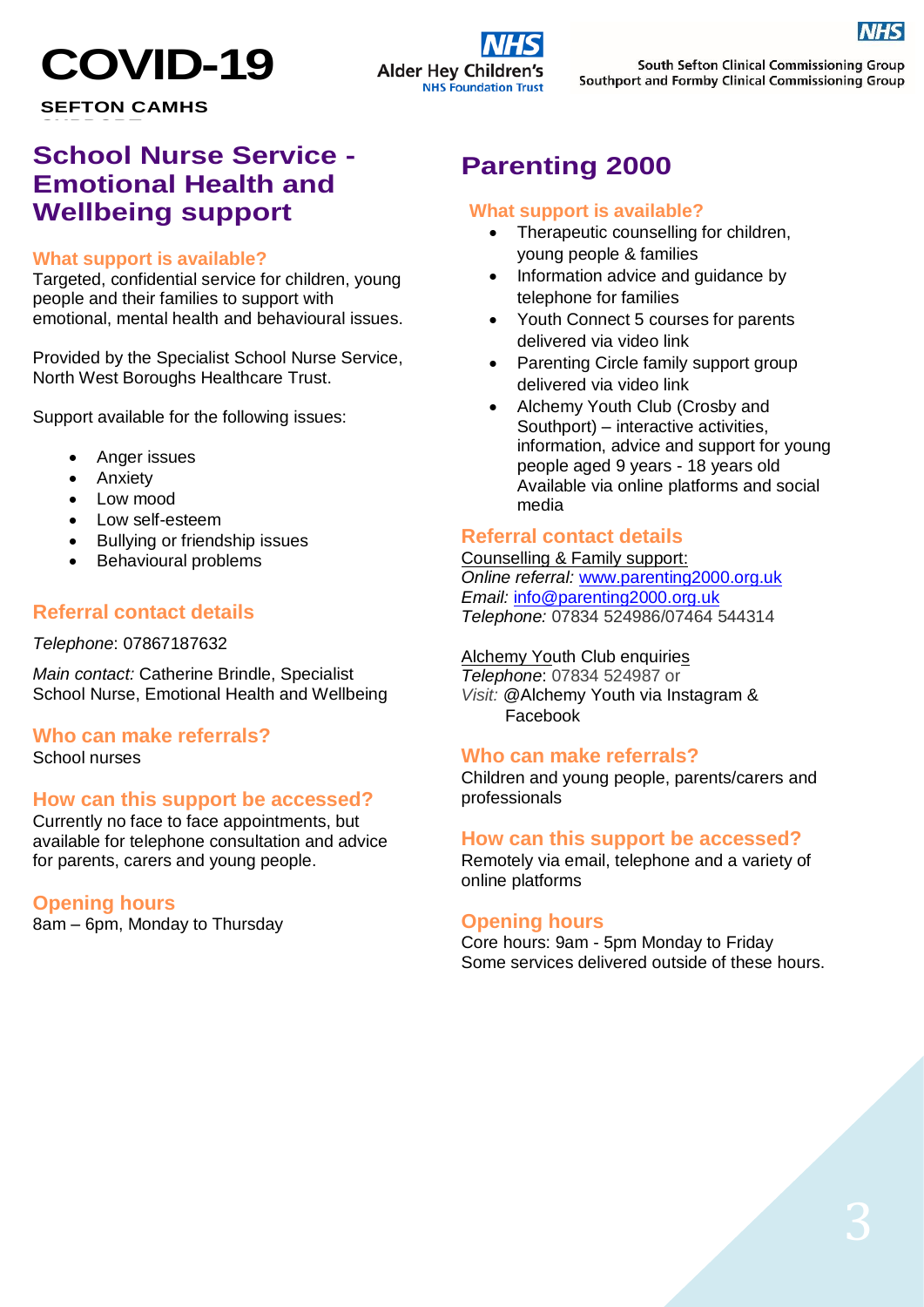

**SEFTON CAMHS**  $S = S \cdot S = S \cdot S = S \cdot S$ 

## **School Nurse Service - Emotional Health and Wellbeing support**

#### **What support is available?**

Targeted, confidential service for children, young people and their families to support with emotional, mental health and behavioural issues.

Provided by the Specialist School Nurse Service, North West Boroughs Healthcare Trust.

Support available for the following issues:

- Anger issues
- Anxiety
- Low mood
- Low self-esteem
- Bullying or friendship issues
- Behavioural problems

#### **Referral contact details**

#### *Telephone*: 07867187632

*Main contact:* Catherine Brindle, Specialist School Nurse, Emotional Health and Wellbeing

#### **Who can make referrals?** School nurses

#### **How can this support be accessed?**

Currently no face to face appointments, but available for telephone consultation and advice for parents, carers and young people.

#### **Opening hours**

8am – 6pm, Monday to Thursday

## **Parenting 2000**

#### **What support is available?**

- Therapeutic counselling for children, young people & families
- Information advice and guidance by telephone for families
- Youth Connect 5 courses for parents delivered via video link
- Parenting Circle family support group delivered via video link
- Alchemy Youth Club (Crosby and Southport) – interactive activities, information, advice and support for young people aged 9 years - 18 years old Available via online platforms and social media

#### **Referral contact details**

Counselling & Family support: *Online referral:* [www.parenting2000.org.uk](http://www.parenting2000.org.uk/) *Email:* [info@parenting2000.org.uk](mailto:info@parenting2000.org.uk) *Telephone:* 07834 524986/07464 544314

Alchemy Youth Club enquiries *Telephone*: 07834 524987 or *Visit:* @Alchemy Youth via Instagram & Facebook

#### **Who can make referrals?**

Children and young people, parents/carers and professionals

#### **How can this support be accessed?**

Remotely via email, telephone and a variety of online platforms

#### **Opening hours**

Core hours: 9am - 5pm Monday to Friday Some services delivered outside of these hours.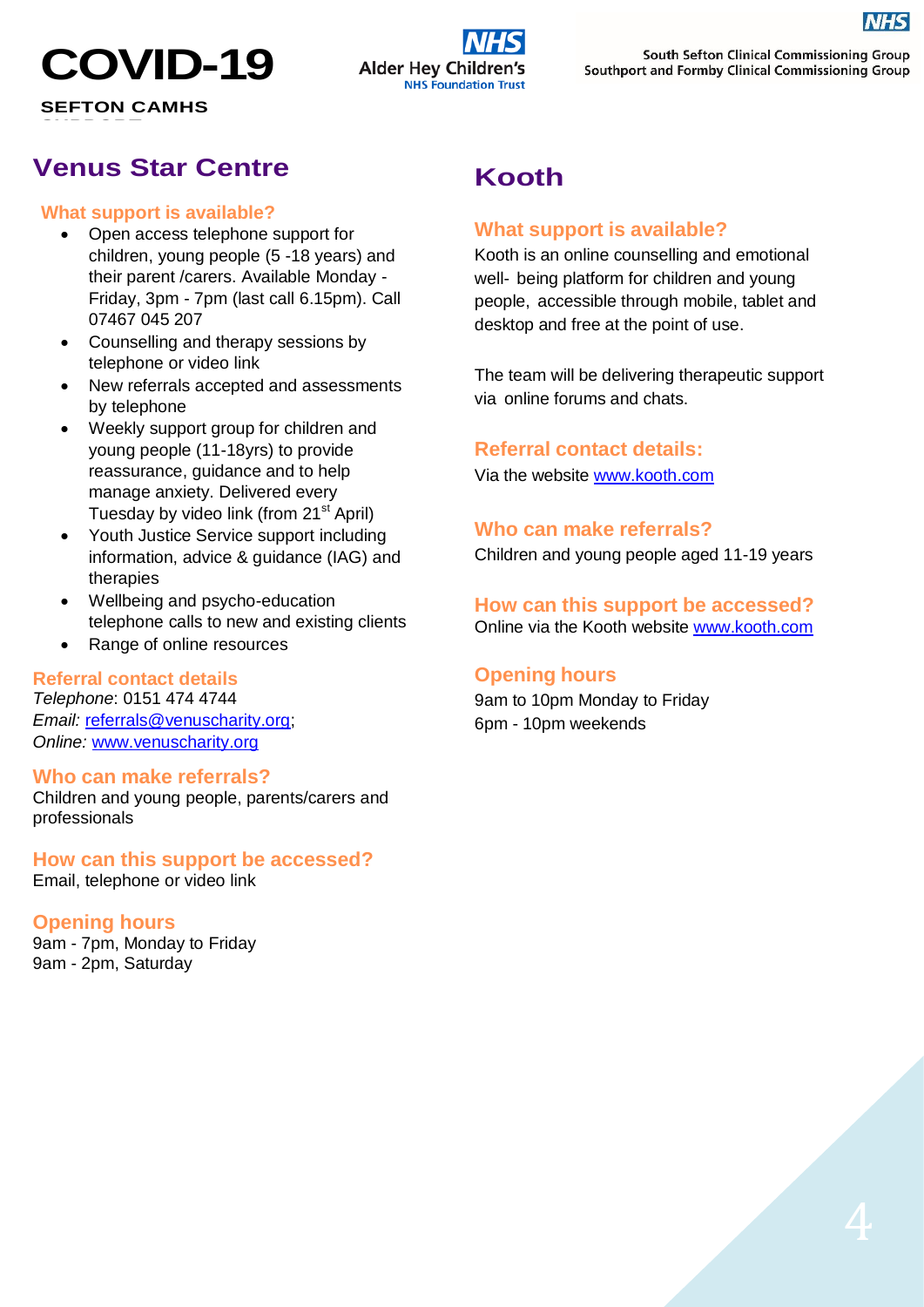# **COVID-19**

**SEFTON CAMHS**  $S = S \cdot S = S \cdot S = S \cdot S$ 

## **Alder Hey Childr NHS Foundation Trust**

South Sefton Clinical Commissioning Group Southport and Formby Clinical Commissioning Group

## **Venus Star Centre**

#### **What support is available?**

- Open access telephone support for children, young people (5 -18 years) and their parent /carers. Available Monday - Friday, 3pm - 7pm (last call 6.15pm). Call 07467 045 207
- Counselling and therapy sessions by telephone or video link
- New referrals accepted and assessments by telephone
- Weekly support group for children and young people (11-18yrs) to provide reassurance, guidance and to help manage anxiety. Delivered every Tuesday by video link (from 21<sup>st</sup> April)
- Youth Justice Service support including information, advice & guidance (IAG) and therapies
- Wellbeing and psycho-education telephone calls to new and existing clients
- Range of online resources

#### **Referral contact details**

*Telephone*: 0151 474 4744 **Email:** [referrals@venuscharity.org;](mailto:referrals@venuscharity.org) *Online:* [www.venuscharity.org](http://www.venuscharity.org/)

#### **Who can make referrals?**

Children and young people, parents/carers and professionals

## **How can this support be accessed?**

Email, telephone or video link

#### **Opening hours**

9am - 7pm, Monday to Friday 9am - 2pm, Saturday

## **Kooth**

#### **What support is available?**

Kooth is an online counselling and emotional well- being platform for children and young people, accessible through mobile, tablet and desktop and free at the point of use.

The team will be delivering therapeutic support via online forums and chats.

#### **Referral contact details:**

Via the website [www.kooth.com](http://www.kooth.com/)

#### **Who can make referrals?**

Children and young people aged 11-19 years

### **How can this support be accessed?**

Online via the Kooth website [www.kooth.com](http://www.kooth.com/)

#### **Opening hours**

9am to 10pm Monday to Friday 6pm - 10pm weekends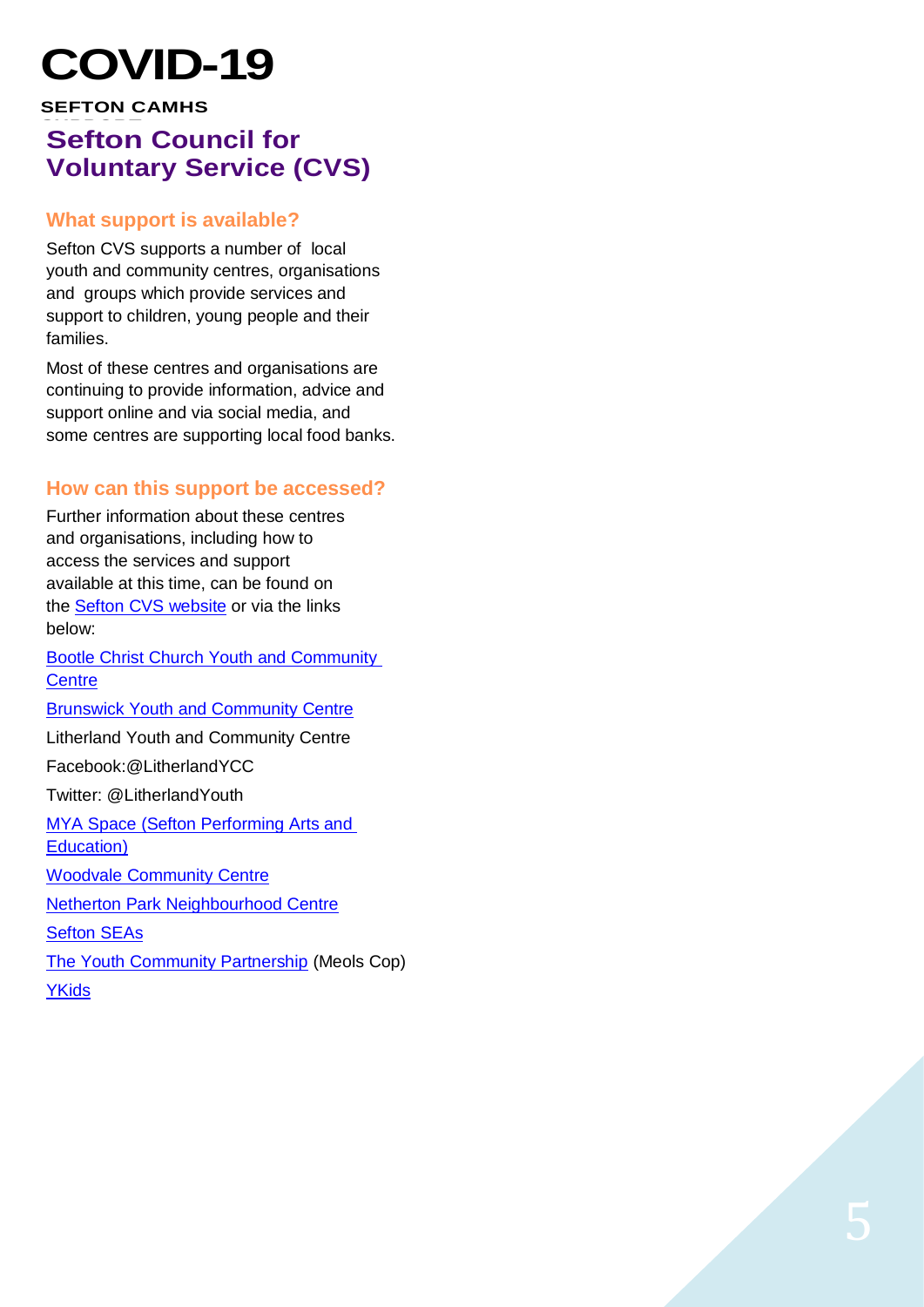# $COV$ ID-19

### **SEFTON CAMHS Sefton Council for Voluntary Service (CVS)**

#### **What support is available?**

Sefton CVS supports a number of local youth and community centres, organisations and groups which provide services and support to children, young people and their families.

Most of these centres and organisations are continuing to provide information, advice and support online and via social media, and some centres are supporting local food banks.

#### **How can this support be accessed?**

Further information about these centres and organisations, including how to access the services and support available at this time, can be found on the **Sefton CVS website or via the links** below:

[Bootle Christ Church Youth and Community](http://www.ccycc.org/)  **[Centre](http://www.ccycc.org/)** [Brunswick Youth and Community Centre](http://www.brunswickycc.co.uk/) Litherland Youth and Community Centre

Facebook:@LitherlandYCC Twitter: @LitherlandYouth

[MYA Space \(Sefton Performing Arts and](http://www.mya.org.uk/SPACE) 

[Education\)](http://www.mya.org.uk/SPACE)

[Woodvale Community Centre](http://www.woodvalecommunitycentre.co.uk/)

[Netherton Park Neighbourhood Centre](http://www.nethertonpark.org.uk/)

[Sefton](https://seftoncvs.org.uk/projects/seas/) SEAs

[The Youth Community Partnership](http://www.the-ycp.co.uk/) (Meols Cop)

[YKids](http://www.ykids.co.uk/)